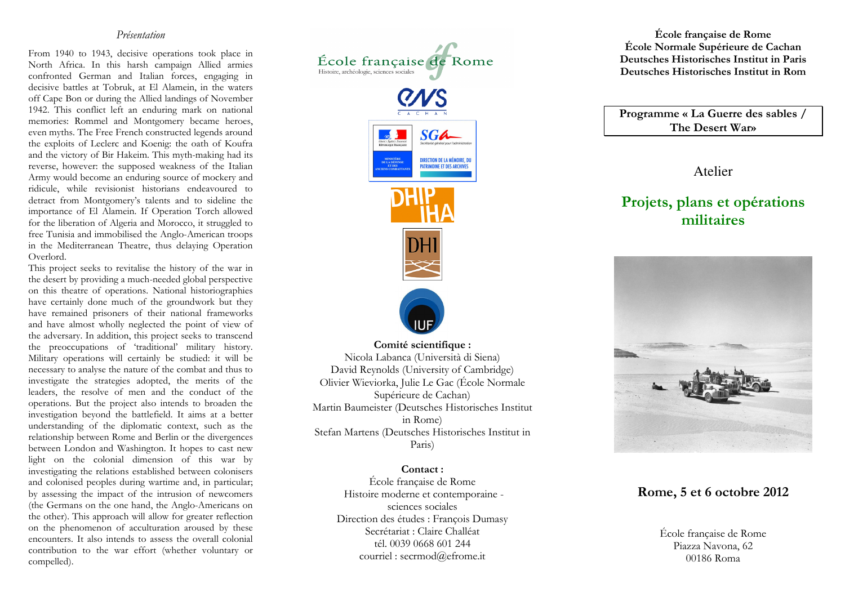#### Présentation

From 1940 to 1943, decisive operations took place in North Africa. In this harsh campaign Allied armies confronted German and Italian forces, engaging in decisive battles at Tobruk, at El Alamein, in the waters off Cape Bon or during the Allied landings of November 1942. This conflict left an enduring mark on national memories: Rommel and Montgomery became heroes, even myths. The Free French constructed legends around the exploits of Leclerc and Koenig: the oath of Koufra and the victory of Bir Hakeim. This myth-making had its reverse, however: the supposed weakness of the Italian Army would become an enduring source of mockery and ridicule, while revisionist historians endeavoured to detract from Montgomery's talents and to sideline the importance of El Alamein. If Operation Torch allowed for the liberation of Algeria and Morocco, it struggled to free Tunisia and immobilised the Anglo-American troops in the Mediterranean Theatre, thus delaying Operation Overlord.

 This project seeks to revitalise the history of the war in the desert by providing a much-needed global perspective on this theatre of operations. National historiographies have certainly done much of the groundwork but they have remained prisoners of their national frameworks and have almost wholly neglected the point of view of the adversary. In addition, this project seeks to transcend the preoccupations of 'traditional' military history. Military operations will certainly be studied: it will be necessary to analyse the nature of the combat and thus to investigate the strategies adopted, the merits of the leaders, the resolve of men and the conduct of the operations. But the project also intends to broaden the investigation beyond the battlefield. It aims at a better understanding of the diplomatic context, such as the relationship between Rome and Berlin or the divergences between London and Washington. It hopes to cast new light on the colonial dimension of this war by investigating the relations established between colonisers and colonised peoples during wartime and, in particular; by assessing the impact of the intrusion of newcomers (the Germans on the one hand, the Anglo-Americans on the other). This approach will allow for greater reflection on the phenomenon of acculturation aroused by these encounters. It also intends to assess the overall colonial contribution to the war effort (whether voluntary or compelled).



Olivier Wieviorka, Julie Le Gac (École Normale Martin Baumeister (Deutsches Historisches Institut in Rome) Stefan Martens (Deutsches Historisches Institut in Paris)

#### Contact :

 École française de Rome Histoire moderne et contemporaine sciences sociales Direction des études : François Dumasy Secrétariat : Claire Challéat tél. 0039 0668 601 244 courriel : secrmod@efrome.it

École française de Rome École Normale Supérieure de Cachan Deutsches Historisches Institut in Paris Deutsches Historisches Institut in Rom

Programme « La Guerre des sables / The Desert War»

Atelier

# Projets, plans et opérations militaires



#### Rome, 5 et 6 octobre 2012

École française de Rome Piazza Navona, 62 00186 Roma